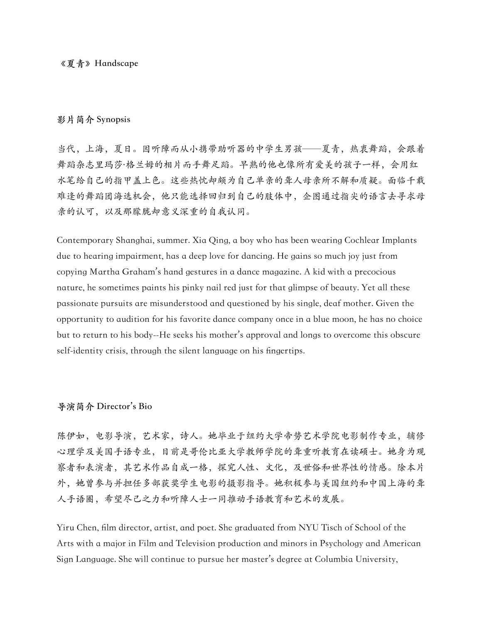## **《夏青》Handscape**

## **影片简介 Synopsis**

当代,上海,夏日。因听障而从小携带助听器的中学生男孩——夏青,热衷舞蹈,会跟着 舞蹈杂志里玛莎·格兰姆的相片而手舞足蹈。早熟的他也像所有爱美的孩子一样,会用红 水笔给自己的指甲盖上色。这些热忱却颇为自己单亲的聋人母亲所不解和质疑。面临千载 难逢的舞蹈团海选机会,他只能选择回归到自己的肢体中,企图通过指尖的语言去寻求母 亲的认可,以及那朦胧却意义深重的自我认同。

Contemporary Shanghai, summer. Xia Qing, a boy who has been wearing Cochlear Implants due to hearing impairment, has a deep love for dancing. He gains so much joy just from copying Martha Graham's hand gestures in a dance magazine. A kid with a precocious nature, he sometimes paints his pinky nail red just for that glimpse of beauty. Yet all these passionate pursuits are misunderstood and questioned by his single, deaf mother. Given the opportunity to audition for his favorite dance company once in a blue moon, he has no choice but to return to his body--He seeks his mother's approval and longs to overcome this obscure self-identity crisis, through the silent language on his fingertips.

## **导演简介 Director's Bio**

陈伊如,电影导演,艺术家,诗人。她毕业于纽约大学帝势艺术学院电影制作专业,辅修 心理学及美国手语专业,目前是哥伦比亚大学教师学院的聋重听教育在读硕士。她身为观 察者和表演者,其艺术作品自成一格,探究人性、文化,及世俗和世界性的情感。除本片 外,她曾参与并担任多部获奖学⽣电影的摄影指导。她积极参与美国纽约和中国上海的聋 人手语圈,希望尽己之力和听障人士一同推动手语教育和艺术的发展。

Yiru Chen, film director, artist, and poet. She graduated from NYU Tisch of School of the Arts with a major in Film and Television production and minors in Psychology and American Sign Language. She will continue to pursue her master's degree at Columbia University,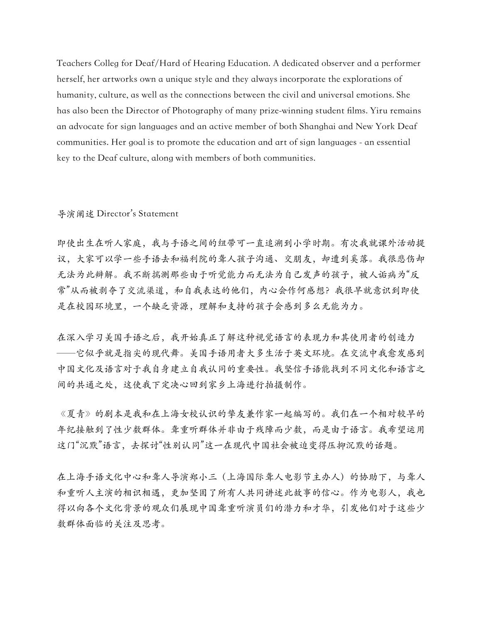Teachers Colleg for Deaf/Hard of Hearing Education. A dedicated observer and a performer herself, her artworks own a unique style and they always incorporate the explorations of humanity, culture, as well as the connections between the civil and universal emotions. She has also been the Director of Photography of many prize-winning student films. Yiru remains an advocate for sign languages and an active member of both Shanghai and New York Deaf communities. Her goal is to promote the education and art of sign languages - an essential key to the Deaf culture, along with members of both communities.

## 导演阐述 Director's Statement

即使出生在听人家庭,我与手语之间的纽带可一直追溯到小学时期。有次我就课外活动提 议,大家可以学一些手语去和福利院的聋人孩子沟通、交朋友,却遭到奚落。我很悲伤却 无法为此辩解。我不断揣测那些由于听觉能力而无法为自己发声的孩子,被人诟病为"反 常"从而被剥夺了交流渠道,和自我表达的他们,内心会作何感想?我很早就意识到即使 是在校园环境里,一个缺乏资源,理解和支持的孩子会感到多么无能为力。

在深入学习美国手语之后,我开始真正了解这种视觉语言的表现力和其使用者的创造力 ──它似乎就是指尖的现代舞。美国手语用者大多生活于英文环境。在交流中我愈发感到 中国文化及语言对于建立自我认同的重要性。我坚信手语能找到不同文化和语言之 间的共通之处,这使我下定决⼼回到家乡上海进⾏拍摄制作。

《夏青》的剧本是我和在上海女校认识的挚友兼作家一起编写的。我们在一个相对较早的 年纪接触到了性少数群体。聋重听群体并非由于残障而少数,而是由于语言。我希望运用 这门"沉默"语言,去探讨"性别认同"这一在现代中国社会被迫变得压抑沉默的话题。

在上海手语文化中心和聋��不言(上海国际聋人电影节主办人)的协助下,与聋人 和重听⼈主演的相识相遇,更加坚固了所有⼈共同讲述此故事的信⼼。作为电影⼈,我也 得以向各个文化背景的观众们展现中国聋重听演员们的潜力和才华,引发他们对于这些少 数群体面临的关注及思考。